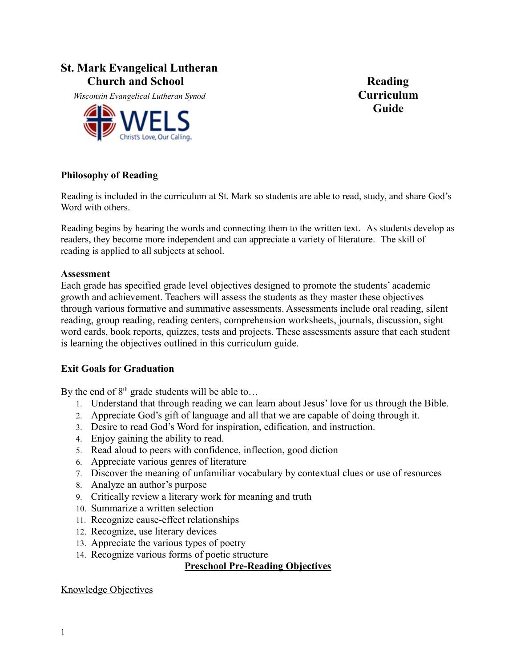# **St. Mark Evangelical Lutheran**  *Church and School* **Reading**

 *Wisconsin Evangelical Lutheran Synod* **Curriculum**



**Guide**

### **Philosophy of Reading**

Reading is included in the curriculum at St. Mark so students are able to read, study, and share God's Word with others.

Reading begins by hearing the words and connecting them to the written text. As students develop as readers, they become more independent and can appreciate a variety of literature. The skill of reading is applied to all subjects at school.

#### **Assessment**

Each grade has specified grade level objectives designed to promote the students' academic growth and achievement. Teachers will assess the students as they master these objectives through various formative and summative assessments. Assessments include oral reading, silent reading, group reading, reading centers, comprehension worksheets, journals, discussion, sight word cards, book reports, quizzes, tests and projects. These assessments assure that each student is learning the objectives outlined in this curriculum guide.

#### **Exit Goals for Graduation**

By the end of  $8<sup>th</sup>$  grade students will be able to...

- 1. Understand that through reading we can learn about Jesus' love for us through the Bible.
- 2. Appreciate God's gift of language and all that we are capable of doing through it.
- 3. Desire to read God's Word for inspiration, edification, and instruction.
- 4. Enjoy gaining the ability to read.
- 5. Read aloud to peers with confidence, inflection, good diction
- 6. Appreciate various genres of literature
- 7. Discover the meaning of unfamiliar vocabulary by contextual clues or use of resources
- 8. Analyze an author's purpose
- 9. Critically review a literary work for meaning and truth
- 10. Summarize a written selection
- 11. Recognize cause-effect relationships
- 12. Recognize, use literary devices
- 13. Appreciate the various types of poetry
- 14. Recognize various forms of poetic structure

#### **Preschool Pre-Reading Objectives**

#### Knowledge Objectives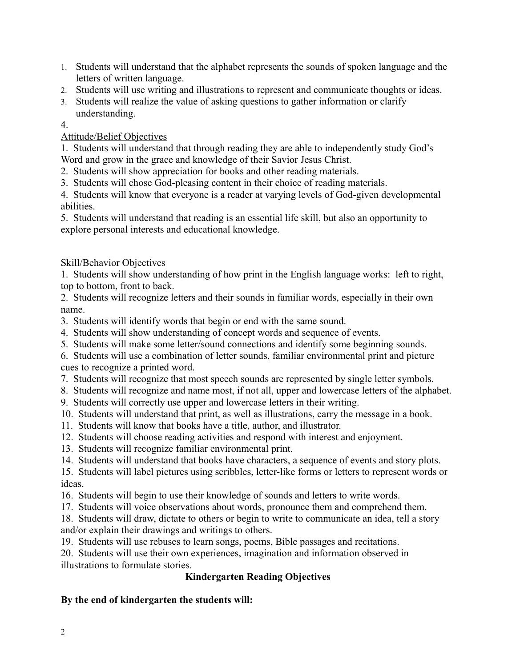- 1. Students will understand that the alphabet represents the sounds of spoken language and the letters of written language.
- 2. Students will use writing and illustrations to represent and communicate thoughts or ideas.
- 3. Students will realize the value of asking questions to gather information or clarify understanding.

### 4.

## Attitude/Belief Objectives

1. Students will understand that through reading they are able to independently study God's Word and grow in the grace and knowledge of their Savior Jesus Christ.

- 2. Students will show appreciation for books and other reading materials.
- 3. Students will chose God-pleasing content in their choice of reading materials.

4. Students will know that everyone is a reader at varying levels of God-given developmental abilities.

5. Students will understand that reading is an essential life skill, but also an opportunity to explore personal interests and educational knowledge.

## Skill/Behavior Objectives

1. Students will show understanding of how print in the English language works: left to right, top to bottom, front to back.

2. Students will recognize letters and their sounds in familiar words, especially in their own name.

- 3. Students will identify words that begin or end with the same sound.
- 4. Students will show understanding of concept words and sequence of events.
- 5. Students will make some letter/sound connections and identify some beginning sounds.

6. Students will use a combination of letter sounds, familiar environmental print and picture cues to recognize a printed word.

- 7. Students will recognize that most speech sounds are represented by single letter symbols.
- 8. Students will recognize and name most, if not all, upper and lowercase letters of the alphabet.
- 9. Students will correctly use upper and lowercase letters in their writing.
- 10. Students will understand that print, as well as illustrations, carry the message in a book.
- 11. Students will know that books have a title, author, and illustrator.
- 12. Students will choose reading activities and respond with interest and enjoyment.
- 13. Students will recognize familiar environmental print.
- 14. Students will understand that books have characters, a sequence of events and story plots.

15. Students will label pictures using scribbles, letter-like forms or letters to represent words or ideas.

- 16. Students will begin to use their knowledge of sounds and letters to write words.
- 17. Students will voice observations about words, pronounce them and comprehend them.

18. Students will draw, dictate to others or begin to write to communicate an idea, tell a story and/or explain their drawings and writings to others.

19. Students will use rebuses to learn songs, poems, Bible passages and recitations.

20. Students will use their own experiences, imagination and information observed in illustrations to formulate stories.

## **Kindergarten Reading Objectives**

## **By the end of kindergarten the students will:**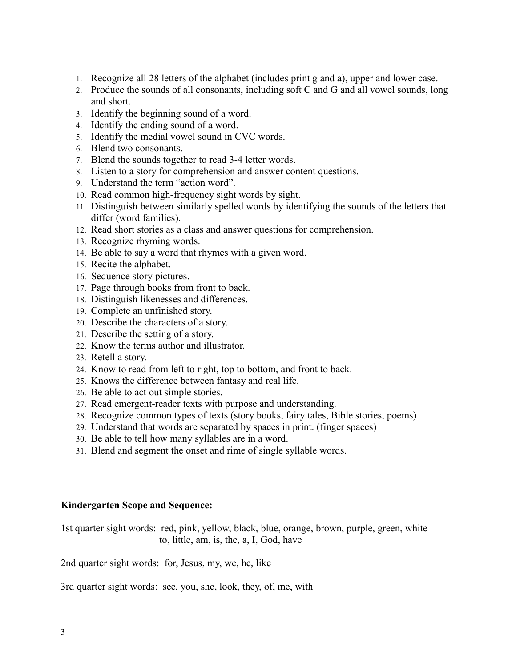- 1. Recognize all 28 letters of the alphabet (includes print g and a), upper and lower case.
- 2. Produce the sounds of all consonants, including soft C and G and all vowel sounds, long and short.
- 3. Identify the beginning sound of a word.
- 4. Identify the ending sound of a word.
- 5. Identify the medial vowel sound in CVC words.
- 6. Blend two consonants.
- 7. Blend the sounds together to read 3-4 letter words.
- 8. Listen to a story for comprehension and answer content questions.
- 9. Understand the term "action word".
- 10. Read common high-frequency sight words by sight.
- 11. Distinguish between similarly spelled words by identifying the sounds of the letters that differ (word families).
- 12. Read short stories as a class and answer questions for comprehension.
- 13. Recognize rhyming words.
- 14. Be able to say a word that rhymes with a given word.
- 15. Recite the alphabet.
- 16. Sequence story pictures.
- 17. Page through books from front to back.
- 18. Distinguish likenesses and differences.
- 19. Complete an unfinished story.
- 20. Describe the characters of a story.
- 21. Describe the setting of a story.
- 22. Know the terms author and illustrator.
- 23. Retell a story.
- 24. Know to read from left to right, top to bottom, and front to back.
- 25. Knows the difference between fantasy and real life.
- 26. Be able to act out simple stories.
- 27. Read emergent-reader texts with purpose and understanding.
- 28. Recognize common types of texts (story books, fairy tales, Bible stories, poems)
- 29. Understand that words are separated by spaces in print. (finger spaces)
- 30. Be able to tell how many syllables are in a word.
- 31. Blend and segment the onset and rime of single syllable words.

#### **Kindergarten Scope and Sequence:**

1st quarter sight words: red, pink, yellow, black, blue, orange, brown, purple, green, white to, little, am, is, the, a, I, God, have

2nd quarter sight words: for, Jesus, my, we, he, like

3rd quarter sight words: see, you, she, look, they, of, me, with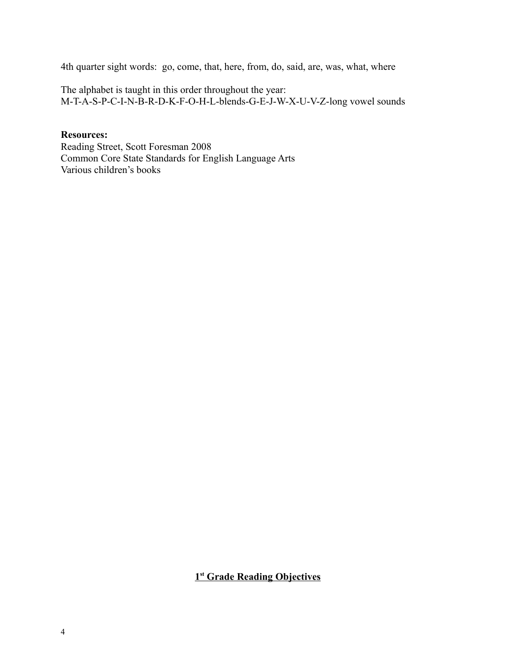4th quarter sight words: go, come, that, here, from, do, said, are, was, what, where

The alphabet is taught in this order throughout the year: M-T-A-S-P-C-I-N-B-R-D-K-F-O-H-L-blends-G-E-J-W-X-U-V-Z-long vowel sounds

### **Resources:**

Reading Street, Scott Foresman 2008 Common Core State Standards for English Language Arts Various children's books

 **1 st Grade Reading Objectives**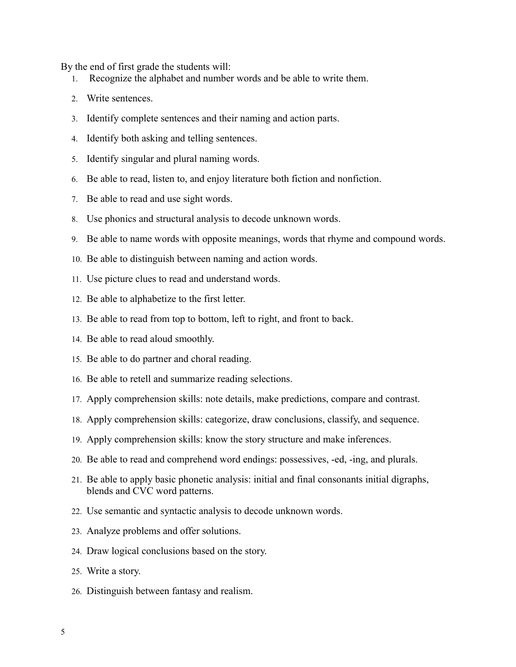By the end of first grade the students will:

- 1. Recognize the alphabet and number words and be able to write them.
- 2. Write sentences.
- 3. Identify complete sentences and their naming and action parts.
- 4. Identify both asking and telling sentences.
- 5. Identify singular and plural naming words.
- 6. Be able to read, listen to, and enjoy literature both fiction and nonfiction.
- 7. Be able to read and use sight words.
- 8. Use phonics and structural analysis to decode unknown words.
- 9. Be able to name words with opposite meanings, words that rhyme and compound words.
- 10. Be able to distinguish between naming and action words.
- 11. Use picture clues to read and understand words.
- 12. Be able to alphabetize to the first letter.
- 13. Be able to read from top to bottom, left to right, and front to back.
- 14. Be able to read aloud smoothly.
- 15. Be able to do partner and choral reading.
- 16. Be able to retell and summarize reading selections.
- 17. Apply comprehension skills: note details, make predictions, compare and contrast.
- 18. Apply comprehension skills: categorize, draw conclusions, classify, and sequence.
- 19. Apply comprehension skills: know the story structure and make inferences.
- 20. Be able to read and comprehend word endings: possessives, -ed, -ing, and plurals.
- 21. Be able to apply basic phonetic analysis: initial and final consonants initial digraphs, blends and CVC word patterns.
- 22. Use semantic and syntactic analysis to decode unknown words.
- 23. Analyze problems and offer solutions.
- 24. Draw logical conclusions based on the story.
- 25. Write a story.
- 26. Distinguish between fantasy and realism.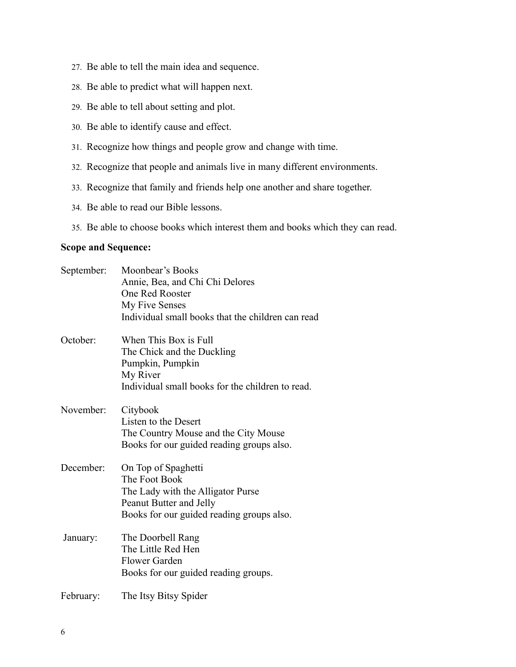- 27. Be able to tell the main idea and sequence.
- 28. Be able to predict what will happen next.
- 29. Be able to tell about setting and plot.
- 30. Be able to identify cause and effect.
- 31. Recognize how things and people grow and change with time.
- 32. Recognize that people and animals live in many different environments.
- 33. Recognize that family and friends help one another and share together.
- 34. Be able to read our Bible lessons.
- 35. Be able to choose books which interest them and books which they can read.

## **Scope and Sequence:**

| September: | Moonbear's Books<br>Annie, Bea, and Chi Chi Delores<br>One Red Rooster<br>My Five Senses<br>Individual small books that the children can read     |
|------------|---------------------------------------------------------------------------------------------------------------------------------------------------|
| October:   | When This Box is Full<br>The Chick and the Duckling<br>Pumpkin, Pumpkin<br>My River<br>Individual small books for the children to read.           |
| November:  | Citybook<br>Listen to the Desert<br>The Country Mouse and the City Mouse<br>Books for our guided reading groups also.                             |
| December:  | On Top of Spaghetti<br>The Foot Book<br>The Lady with the Alligator Purse<br>Peanut Butter and Jelly<br>Books for our guided reading groups also. |
| January:   | The Doorbell Rang<br>The Little Red Hen<br><b>Flower Garden</b><br>Books for our guided reading groups.                                           |
| February:  | The Itsy Bitsy Spider                                                                                                                             |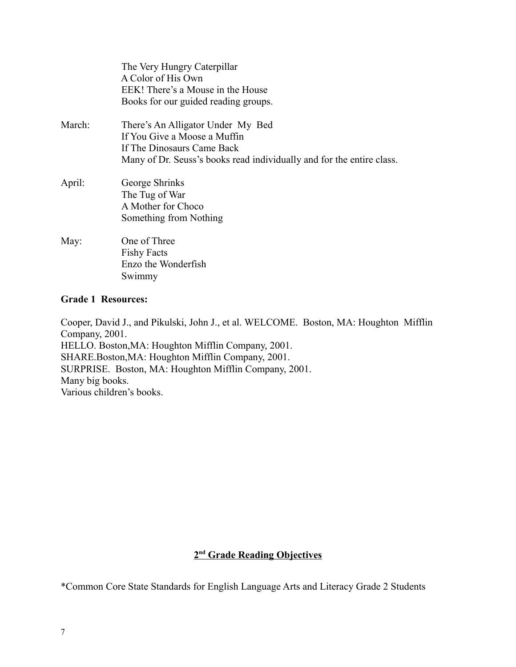|        | The Very Hungry Caterpillar<br>A Color of His Own<br>EEK! There's a Mouse in the House<br>Books for our guided reading groups.                                           |
|--------|--------------------------------------------------------------------------------------------------------------------------------------------------------------------------|
| March: | There's An Alligator Under My Bed<br>If You Give a Moose a Muffin<br>If The Dinosaurs Came Back<br>Many of Dr. Seuss's books read individually and for the entire class. |
| April: | George Shrinks<br>The Tug of War<br>A Mother for Choco<br>Something from Nothing                                                                                         |
| May:   | One of Three<br><b>Fishy Facts</b><br>Enzo the Wonderfish<br>Swimmy                                                                                                      |

#### **Grade 1 Resources:**

Cooper, David J., and Pikulski, John J., et al. WELCOME. Boston, MA: Houghton Mifflin Company, 2001. HELLO. Boston,MA: Houghton Mifflin Company, 2001. SHARE.Boston,MA: Houghton Mifflin Company, 2001. SURPRISE. Boston, MA: Houghton Mifflin Company, 2001. Many big books. Various children's books.

#### **2 nd Grade Reading Objectives**

\*Common Core State Standards for English Language Arts and Literacy Grade 2 Students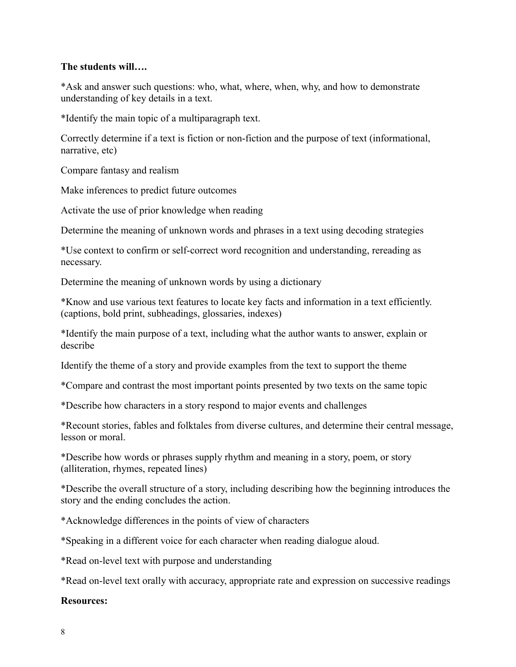### **The students will….**

\*Ask and answer such questions: who, what, where, when, why, and how to demonstrate understanding of key details in a text.

\*Identify the main topic of a multiparagraph text.

Correctly determine if a text is fiction or non-fiction and the purpose of text (informational, narrative, etc)

Compare fantasy and realism

Make inferences to predict future outcomes

Activate the use of prior knowledge when reading

Determine the meaning of unknown words and phrases in a text using decoding strategies

\*Use context to confirm or self-correct word recognition and understanding, rereading as necessary.

Determine the meaning of unknown words by using a dictionary

\*Know and use various text features to locate key facts and information in a text efficiently. (captions, bold print, subheadings, glossaries, indexes)

\*Identify the main purpose of a text, including what the author wants to answer, explain or describe

Identify the theme of a story and provide examples from the text to support the theme

\*Compare and contrast the most important points presented by two texts on the same topic

\*Describe how characters in a story respond to major events and challenges

\*Recount stories, fables and folktales from diverse cultures, and determine their central message, lesson or moral.

\*Describe how words or phrases supply rhythm and meaning in a story, poem, or story (alliteration, rhymes, repeated lines)

\*Describe the overall structure of a story, including describing how the beginning introduces the story and the ending concludes the action.

\*Acknowledge differences in the points of view of characters

\*Speaking in a different voice for each character when reading dialogue aloud.

\*Read on-level text with purpose and understanding

\*Read on-level text orally with accuracy, appropriate rate and expression on successive readings

#### **Resources:**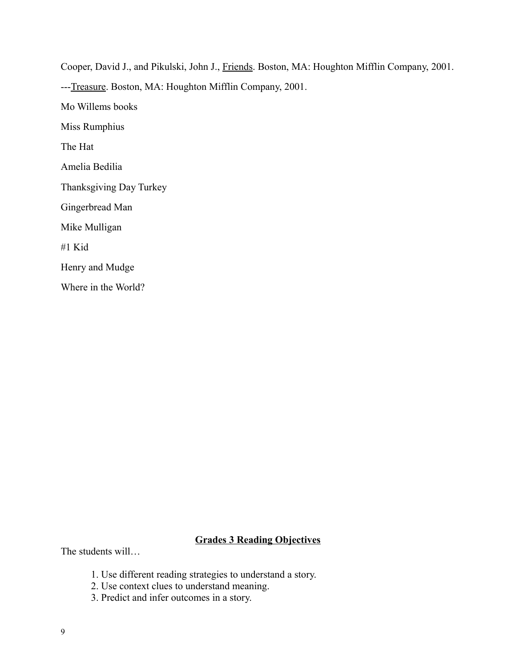Cooper, David J., and Pikulski, John J., Friends. Boston, MA: Houghton Mifflin Company, 2001. ---Treasure. Boston, MA: Houghton Mifflin Company, 2001. Mo Willems books Miss Rumphius The Hat Amelia Bedilia Thanksgiving Day Turkey Gingerbread Man Mike Mulligan #1 Kid Henry and Mudge Where in the World?

# **Grades 3 Reading Objectives**

The students will…

- 1. Use different reading strategies to understand a story.
- 2. Use context clues to understand meaning.
- 3. Predict and infer outcomes in a story.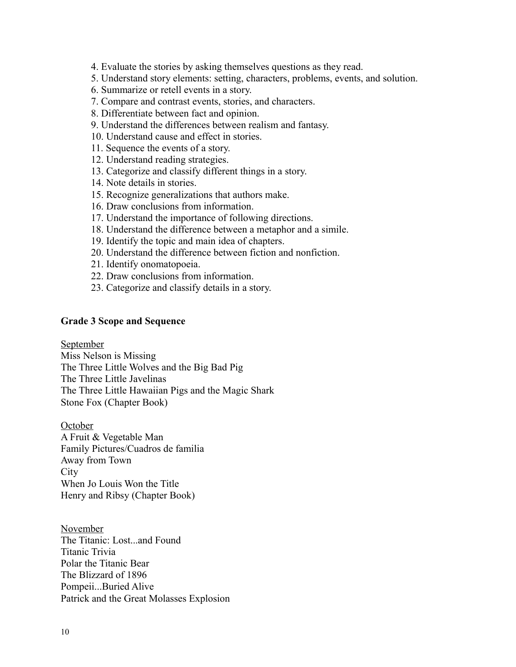4. Evaluate the stories by asking themselves questions as they read.

5. Understand story elements: setting, characters, problems, events, and solution.

- 6. Summarize or retell events in a story.
- 7. Compare and contrast events, stories, and characters.
- 8. Differentiate between fact and opinion.
- 9. Understand the differences between realism and fantasy.
- 10. Understand cause and effect in stories.
- 11. Sequence the events of a story.
- 12. Understand reading strategies.
- 13. Categorize and classify different things in a story.
- 14. Note details in stories.
- 15. Recognize generalizations that authors make.
- 16. Draw conclusions from information.
- 17. Understand the importance of following directions.
- 18. Understand the difference between a metaphor and a simile.
- 19. Identify the topic and main idea of chapters.
- 20. Understand the difference between fiction and nonfiction.
- 21. Identify onomatopoeia.
- 22. Draw conclusions from information.
- 23. Categorize and classify details in a story.

#### **Grade 3 Scope and Sequence**

September

Miss Nelson is Missing

The Three Little Wolves and the Big Bad Pig

The Three Little Javelinas

The Three Little Hawaiian Pigs and the Magic Shark

Stone Fox (Chapter Book)

October A Fruit & Vegetable Man Family Pictures/Cuadros de familia Away from Town City When Jo Louis Won the Title Henry and Ribsy (Chapter Book)

November The Titanic: Lost...and Found Titanic Trivia Polar the Titanic Bear The Blizzard of 1896 Pompeii...Buried Alive Patrick and the Great Molasses Explosion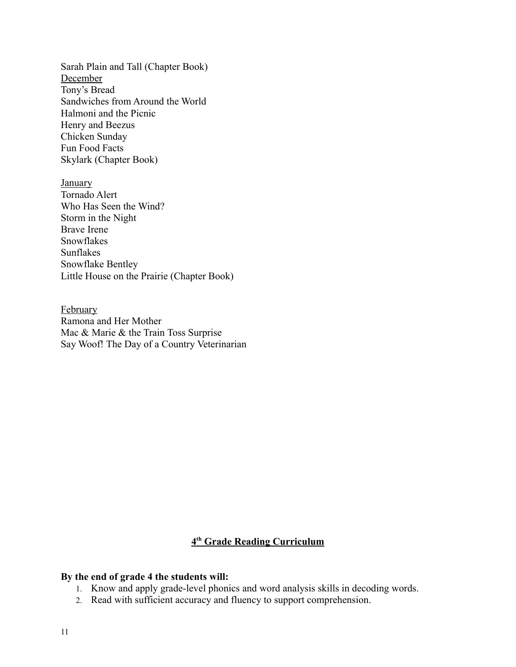Sarah Plain and Tall (Chapter Book) **December** Tony's Bread Sandwiches from Around the World Halmoni and the Picnic Henry and Beezus Chicken Sunday Fun Food Facts Skylark (Chapter Book)

**January** Tornado Alert Who Has Seen the Wind? Storm in the Night Brave Irene Snowflakes Sunflakes Snowflake Bentley Little House on the Prairie (Chapter Book)

February Ramona and Her Mother Mac & Marie & the Train Toss Surprise Say Woof! The Day of a Country Veterinarian

#### **4 th Grade Reading Curriculum**

#### **By the end of grade 4 the students will:**

- 1. Know and apply grade-level phonics and word analysis skills in decoding words.
- 2. Read with sufficient accuracy and fluency to support comprehension.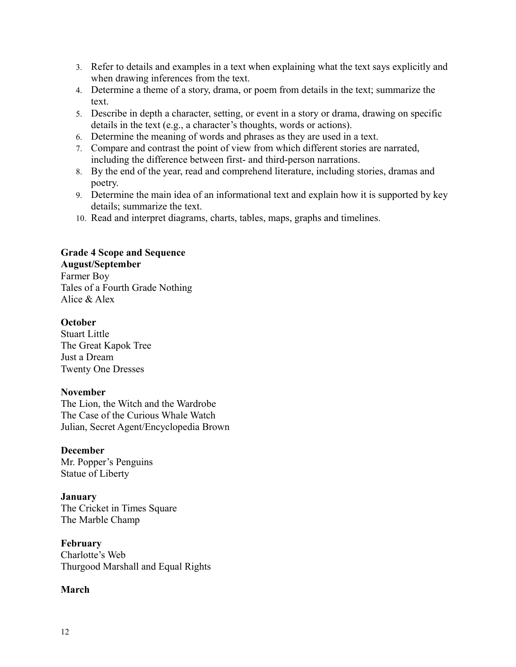- 3. Refer to details and examples in a text when explaining what the text says explicitly and when drawing inferences from the text.
- 4. Determine a theme of a story, drama, or poem from details in the text; summarize the text.
- 5. Describe in depth a character, setting, or event in a story or drama, drawing on specific details in the text (e.g., a character's thoughts, words or actions).
- 6. Determine the meaning of words and phrases as they are used in a text.
- 7. Compare and contrast the point of view from which different stories are narrated, including the difference between first- and third-person narrations.
- 8. By the end of the year, read and comprehend literature, including stories, dramas and poetry.
- 9. Determine the main idea of an informational text and explain how it is supported by key details; summarize the text.
- 10. Read and interpret diagrams, charts, tables, maps, graphs and timelines.

## **Grade 4 Scope and Sequence**

## **August/September**

Farmer Boy Tales of a Fourth Grade Nothing Alice & Alex

### **October**

Stuart Little The Great Kapok Tree Just a Dream Twenty One Dresses

#### **November**

The Lion, the Witch and the Wardrobe The Case of the Curious Whale Watch Julian, Secret Agent/Encyclopedia Brown

## **December**

Mr. Popper's Penguins Statue of Liberty

#### **January**

The Cricket in Times Square The Marble Champ

**February** Charlotte's Web Thurgood Marshall and Equal Rights

## **March**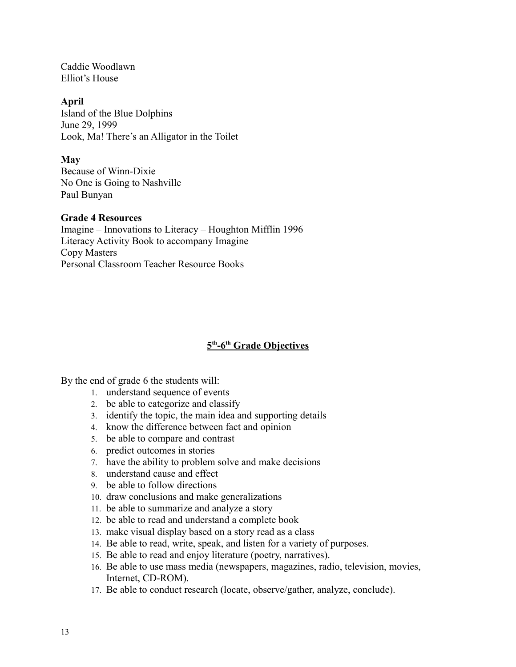Caddie Woodlawn Elliot's House

#### **April**

Island of the Blue Dolphins June 29, 1999 Look, Ma! There's an Alligator in the Toilet

### **May**

Because of Winn-Dixie No One is Going to Nashville Paul Bunyan

### **Grade 4 Resources**

Imagine – Innovations to Literacy – Houghton Mifflin 1996 Literacy Activity Book to accompany Imagine Copy Masters Personal Classroom Teacher Resource Books

# **5 th -6th Grade Objectives**

By the end of grade 6 the students will:

- 1. understand sequence of events
- 2. be able to categorize and classify
- 3. identify the topic, the main idea and supporting details
- 4. know the difference between fact and opinion
- 5. be able to compare and contrast
- 6. predict outcomes in stories
- 7. have the ability to problem solve and make decisions
- 8. understand cause and effect
- 9. be able to follow directions
- 10. draw conclusions and make generalizations
- 11. be able to summarize and analyze a story
- 12. be able to read and understand a complete book
- 13. make visual display based on a story read as a class
- 14. Be able to read, write, speak, and listen for a variety of purposes.
- 15. Be able to read and enjoy literature (poetry, narratives).
- 16. Be able to use mass media (newspapers, magazines, radio, television, movies, Internet, CD-ROM).
- 17. Be able to conduct research (locate, observe/gather, analyze, conclude).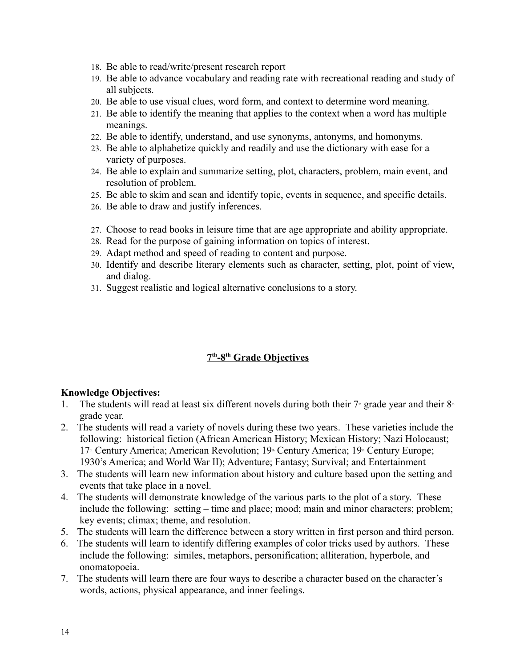- 18. Be able to read/write/present research report
- 19. Be able to advance vocabulary and reading rate with recreational reading and study of all subjects.
- 20. Be able to use visual clues, word form, and context to determine word meaning.
- 21. Be able to identify the meaning that applies to the context when a word has multiple meanings.
- 22. Be able to identify, understand, and use synonyms, antonyms, and homonyms.
- 23. Be able to alphabetize quickly and readily and use the dictionary with ease for a variety of purposes.
- 24. Be able to explain and summarize setting, plot, characters, problem, main event, and resolution of problem.
- 25. Be able to skim and scan and identify topic, events in sequence, and specific details.
- 26. Be able to draw and justify inferences.
- 27. Choose to read books in leisure time that are age appropriate and ability appropriate.
- 28. Read for the purpose of gaining information on topics of interest.
- 29. Adapt method and speed of reading to content and purpose.
- 30. Identify and describe literary elements such as character, setting, plot, point of view, and dialog.
- 31. Suggest realistic and logical alternative conclusions to a story.

## **7 th -8th Grade Objectives**

## **Knowledge Objectives:**

- 1. The students will read at least six different novels during both their  $7<sup>*</sup>$  grade year and their  $8<sup>*</sup>$ grade year.
- 2. The students will read a variety of novels during these two years. These varieties include the following: historical fiction (African American History; Mexican History; Nazi Holocaust; 17<sup>th</sup> Century America; American Revolution; 19<sup>th</sup> Century America; 19<sup>th</sup> Century Europe; 1930's America; and World War II); Adventure; Fantasy; Survival; and Entertainment
- 3. The students will learn new information about history and culture based upon the setting and events that take place in a novel.
- 4. The students will demonstrate knowledge of the various parts to the plot of a story. These include the following: setting – time and place; mood; main and minor characters; problem; key events; climax; theme, and resolution.
- 5. The students will learn the difference between a story written in first person and third person.
- 6. The students will learn to identify differing examples of color tricks used by authors. These include the following: similes, metaphors, personification; alliteration, hyperbole, and onomatopoeia.
- 7. The students will learn there are four ways to describe a character based on the character's words, actions, physical appearance, and inner feelings.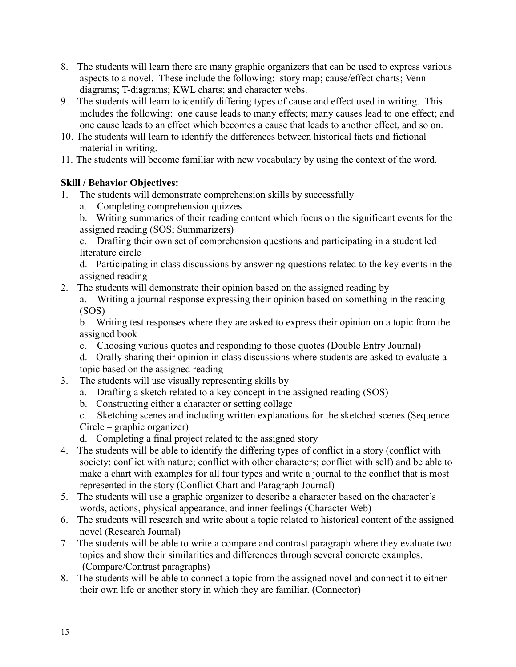- 8. The students will learn there are many graphic organizers that can be used to express various aspects to a novel. These include the following: story map; cause/effect charts; Venn diagrams; T-diagrams; KWL charts; and character webs.
- 9. The students will learn to identify differing types of cause and effect used in writing. This includes the following: one cause leads to many effects; many causes lead to one effect; and one cause leads to an effect which becomes a cause that leads to another effect, and so on.
- 10. The students will learn to identify the differences between historical facts and fictional material in writing.
- 11. The students will become familiar with new vocabulary by using the context of the word.

# **Skill / Behavior Objectives:**

- 1. The students will demonstrate comprehension skills by successfully
	- a. Completing comprehension quizzes
	- b. Writing summaries of their reading content which focus on the significant events for the assigned reading (SOS; Summarizers)

c. Drafting their own set of comprehension questions and participating in a student led literature circle

d. Participating in class discussions by answering questions related to the key events in the assigned reading

2. The students will demonstrate their opinion based on the assigned reading by

a. Writing a journal response expressing their opinion based on something in the reading (SOS)

b. Writing test responses where they are asked to express their opinion on a topic from the assigned book

c. Choosing various quotes and responding to those quotes (Double Entry Journal)

d. Orally sharing their opinion in class discussions where students are asked to evaluate a topic based on the assigned reading

- 3. The students will use visually representing skills by
	- a. Drafting a sketch related to a key concept in the assigned reading (SOS)
	- b. Constructing either a character or setting collage
	- c. Sketching scenes and including written explanations for the sketched scenes (Sequence Circle – graphic organizer)
	- d. Completing a final project related to the assigned story
- 4. The students will be able to identify the differing types of conflict in a story (conflict with society; conflict with nature; conflict with other characters; conflict with self) and be able to make a chart with examples for all four types and write a journal to the conflict that is most represented in the story (Conflict Chart and Paragraph Journal)
- 5. The students will use a graphic organizer to describe a character based on the character's words, actions, physical appearance, and inner feelings (Character Web)
- 6. The students will research and write about a topic related to historical content of the assigned novel (Research Journal)
- 7. The students will be able to write a compare and contrast paragraph where they evaluate two topics and show their similarities and differences through several concrete examples. (Compare/Contrast paragraphs)
- 8. The students will be able to connect a topic from the assigned novel and connect it to either their own life or another story in which they are familiar. (Connector)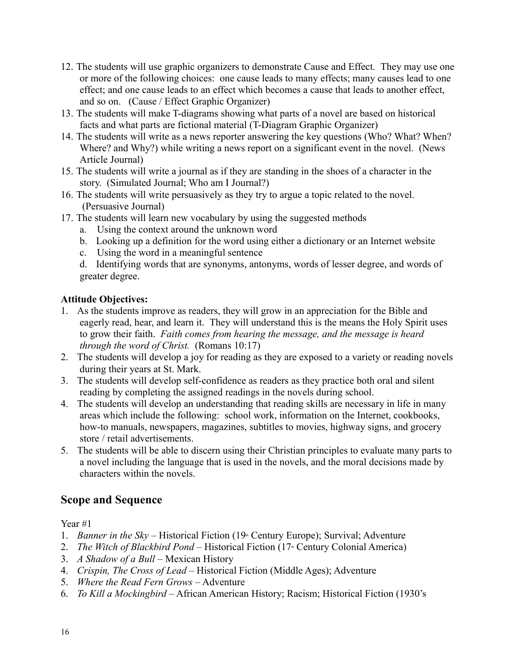- 12. The students will use graphic organizers to demonstrate Cause and Effect. They may use one or more of the following choices: one cause leads to many effects; many causes lead to one effect; and one cause leads to an effect which becomes a cause that leads to another effect, and so on. (Cause / Effect Graphic Organizer)
- 13. The students will make T-diagrams showing what parts of a novel are based on historical facts and what parts are fictional material (T-Diagram Graphic Organizer)
- 14. The students will write as a news reporter answering the key questions (Who? What? When? Where? and Why?) while writing a news report on a significant event in the novel. (News Article Journal)
- 15. The students will write a journal as if they are standing in the shoes of a character in the story. (Simulated Journal; Who am I Journal?)
- 16. The students will write persuasively as they try to argue a topic related to the novel. (Persuasive Journal)
- 17. The students will learn new vocabulary by using the suggested methods
	- a. Using the context around the unknown word
	- b. Looking up a definition for the word using either a dictionary or an Internet website
	- c. Using the word in a meaningful sentence

d. Identifying words that are synonyms, antonyms, words of lesser degree, and words of greater degree.

## **Attitude Objectives:**

- 1. As the students improve as readers, they will grow in an appreciation for the Bible and eagerly read, hear, and learn it. They will understand this is the means the Holy Spirit uses to grow their faith. *Faith comes from hearing the message, and the message is heard through the word of Christ.* (Romans 10:17)
- 2. The students will develop a joy for reading as they are exposed to a variety or reading novels during their years at St. Mark.
- 3. The students will develop self-confidence as readers as they practice both oral and silent reading by completing the assigned readings in the novels during school.
- 4. The students will develop an understanding that reading skills are necessary in life in many areas which include the following: school work, information on the Internet, cookbooks, how-to manuals, newspapers, magazines, subtitles to movies, highway signs, and grocery store / retail advertisements.
- 5. The students will be able to discern using their Christian principles to evaluate many parts to a novel including the language that is used in the novels, and the moral decisions made by characters within the novels.

# **Scope and Sequence**

Year #1

- 1. *Banner in the Sky* Historical Fiction (19<sup>th</sup> Century Europe); Survival; Adventure
- 2. *The Witch of Blackbird Pond* Historical Fiction (17<sup>th</sup> Century Colonial America)
- 3. *A Shadow of a Bull* Mexican History
- 4. *Crispin, The Cross of Lead* Historical Fiction (Middle Ages); Adventure
- 5. *Where the Read Fern Grows* Adventure
- 6. *To Kill a Mockingbird* African American History; Racism; Historical Fiction (1930's